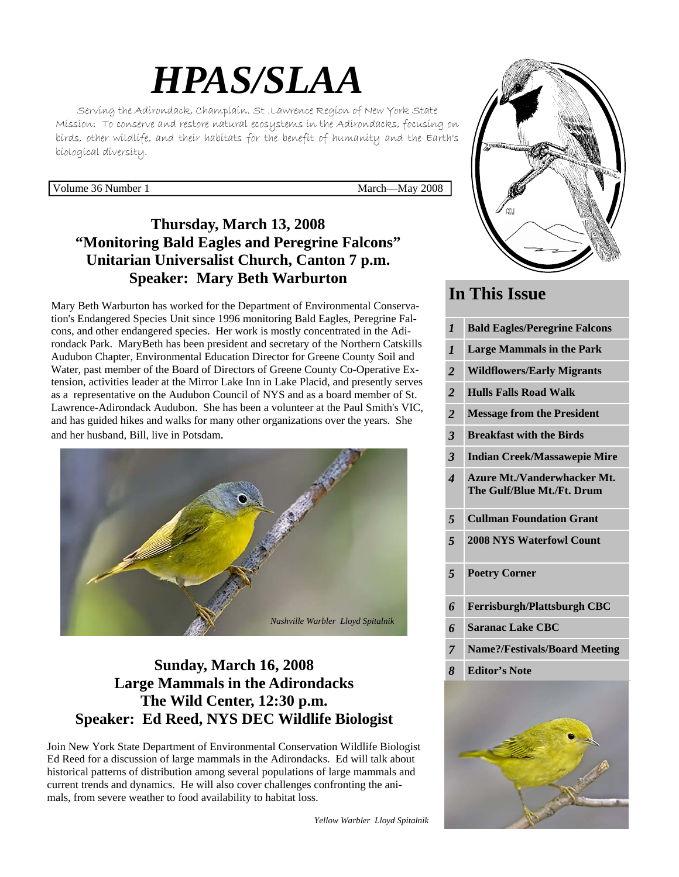# *HPAS/SLAA*

Serving the Adirondack, Champlain. St .Lawrence Region of New York State Mission: To conserve and restore natural ecosystems in the Adirondacks, focusing on birds, other wildlife, and their habitats for the benefit of humanity and the Earth's biological diversity.

Volume 36 Number 1 March—May 2008

# **Thursday, March 13, 2008 "Monitoring Bald Eagles and Peregrine Falcons" Unitarian Universalist Church, Canton 7 p.m. Speaker: Mary Beth Warburton**

Mary Beth Warburton has worked for the Department of Environmental Conservation's Endangered Species Unit since 1996 monitoring Bald Eagles, Peregrine Falcons, and other endangered species. Her work is mostly concentrated in the Adirondack Park. MaryBeth has been president and secretary of the Northern Catskills Audubon Chapter, Environmental Education Director for Greene County Soil and Water, past member of the Board of Directors of Greene County Co-Operative Extension, activities leader at the Mirror Lake Inn in Lake Placid, and presently serves as a representative on the Audubon Council of NYS and as a board member of St. Lawrence-Adirondack Audubon. She has been a volunteer at the Paul Smith's VIC, and has guided hikes and walks for many other organizations over the years. She and her husband, Bill, live in Potsdam.



# **Sunday, March 16, 2008 Large Mammals in the Adirondacks The Wild Center, 12:30 p.m. Speaker: Ed Reed, NYS DEC Wildlife Biologist**

Join New York State Department of Environmental Conservation Wildlife Biologist Ed Reed for a discussion of large mammals in the Adirondacks. Ed will talk about historical patterns of distribution among several populations of large mammals and current trends and dynamics. He will also cover challenges confronting the animals, from severe weather to food availability to habitat loss.

*Yellow Warbler Lloyd Spitalnik*



# **In This Issue**

| $\boldsymbol{l}$         | <b>Bald Eagles/Peregrine Falcons</b>                             |
|--------------------------|------------------------------------------------------------------|
| $\boldsymbol{l}$         | <b>Large Mammals in the Park</b>                                 |
| $\overline{2}$           | <b>Wildflowers/Early Migrants</b>                                |
| $\overline{2}$           | <b>Hulls Falls Road Walk</b>                                     |
| $\overline{2}$           | <b>Message from the President</b>                                |
| 3                        | <b>Breakfast with the Birds</b>                                  |
| 3                        | <b>Indian Creek/Massawepie Mire</b>                              |
| $\overline{\mathcal{A}}$ | <b>Azure Mt./Vanderwhacker Mt.</b><br>The Gulf/Blue Mt./Ft. Drum |
| 5                        | <b>Cullman Foundation Grant</b>                                  |
| 5                        | <b>2008 NYS Waterfowl Count</b>                                  |
| 5                        | <b>Poetry Corner</b>                                             |
| 6                        | <b>Ferrisburgh/Plattsburgh CBC</b>                               |
| 6                        | <b>Saranac Lake CBC</b>                                          |
| $\overline{7}$           | <b>Name?/Festivals/Board Meeting</b>                             |
| 8                        | <b>Editor's Note</b>                                             |
|                          |                                                                  |
|                          |                                                                  |

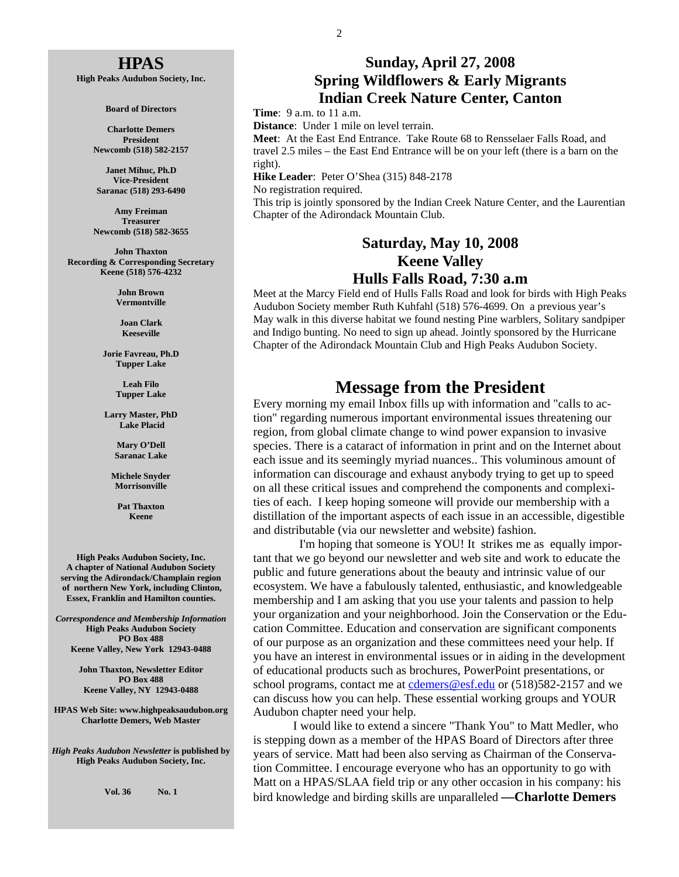#### **HPAS**

**High Peaks Audubon Society, Inc.** 

**Board of Directors** 

**Charlotte Demers President Newcomb (518) 582-2157** 

**Janet Mihuc, Ph.D Vice-President Saranac (518) 293-6490** 

**Amy Freiman Treasurer Newcomb (518) 582-3655** 

**John Thaxton Recording & Corresponding Secretary Keene (518) 576-4232** 

> **John Brown Vermontville**

**Joan Clark Keeseville** 

**Jorie Favreau, Ph.D Tupper Lake** 

> **Leah Filo Tupper Lake**

**Larry Master, PhD Lake Placid** 

> **Mary O'Dell Saranac Lake**

**Michele Snyder Morrisonville** 

> **Pat Thaxton Keene**

**High Peaks Audubon Society, Inc. A chapter of National Audubon Society serving the Adirondack/Champlain region of northern New York, including Clinton, Essex, Franklin and Hamilton counties.** 

*Correspondence and Membership Information* **High Peaks Audubon Society PO Box 488 Keene Valley, New York 12943-0488** 

> **John Thaxton, Newsletter Editor PO Box 488 Keene Valley, NY 12943-0488**

**HPAS Web Site: www.highpeaksaudubon.org Charlotte Demers, Web Master** 

*High Peaks Audubon Newsletter* **is published by High Peaks Audubon Society, Inc.** 

**Vol. 36 No. 1** 

#### **Sunday, April 27, 2008 Spring Wildflowers & Early Migrants Indian Creek Nature Center, Canton**

**Time**: 9 a.m. to 11 a.m.

**Distance**: Under 1 mile on level terrain.

**Meet**: At the East End Entrance. Take Route 68 to Rensselaer Falls Road, and travel 2.5 miles – the East End Entrance will be on your left (there is a barn on the right).

**Hike Leader**: Peter O'Shea (315) 848-2178

No registration required.

This trip is jointly sponsored by the Indian Creek Nature Center, and the Laurentian Chapter of the Adirondack Mountain Club.

#### **Saturday, May 10, 2008 Keene Valley Hulls Falls Road, 7:30 a.m**

Meet at the Marcy Field end of Hulls Falls Road and look for birds with High Peaks Audubon Society member Ruth Kuhfahl (518) 576-4699. On a previous year's May walk in this diverse habitat we found nesting Pine warblers, Solitary sandpiper and Indigo bunting. No need to sign up ahead. Jointly sponsored by the Hurricane Chapter of the Adirondack Mountain Club and High Peaks Audubon Society.

## **Message from the President**

Every morning my email Inbox fills up with information and "calls to action" regarding numerous important environmental issues threatening our region, from global climate change to wind power expansion to invasive species. There is a cataract of information in print and on the Internet about each issue and its seemingly myriad nuances.. This voluminous amount of information can discourage and exhaust anybody trying to get up to speed on all these critical issues and comprehend the components and complexities of each. I keep hoping someone will provide our membership with a distillation of the important aspects of each issue in an accessible, digestible and distributable (via our newsletter and website) fashion.

 I'm hoping that someone is YOU! It strikes me as equally important that we go beyond our newsletter and web site and work to educate the public and future generations about the beauty and intrinsic value of our ecosystem. We have a fabulously talented, enthusiastic, and knowledgeable membership and I am asking that you use your talents and passion to help your organization and your neighborhood. Join the Conservation or the Education Committee. Education and conservation are significant components of our purpose as an organization and these committees need your help. If you have an interest in environmental issues or in aiding in the development of educational products such as brochures, PowerPoint presentations, or school programs, contact me at cdemers@esf.edu or (518)582-2157 and we can discuss how you can help. These essential working groups and YOUR Audubon chapter need your help.

 I would like to extend a sincere "Thank You" to Matt Medler, who is stepping down as a member of the HPAS Board of Directors after three years of service. Matt had been also serving as Chairman of the Conservation Committee. I encourage everyone who has an opportunity to go with Matt on a HPAS/SLAA field trip or any other occasion in his company: his bird knowledge and birding skills are unparalleled **—Charlotte Demers**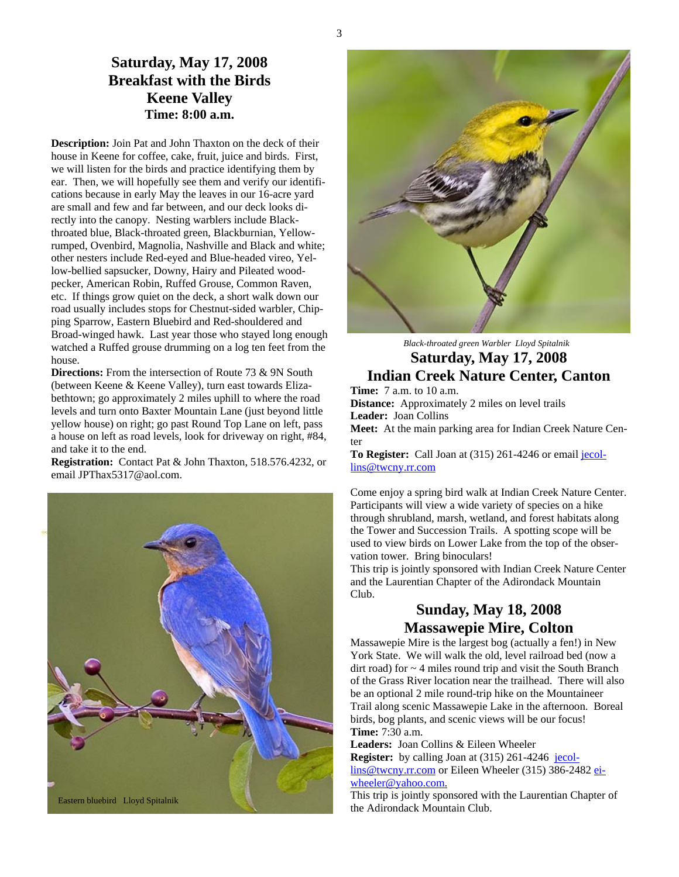#### **Saturday, May 17, 2008 Breakfast with the Birds Keene Valley Time: 8:00 a.m.**

**Description:** Join Pat and John Thaxton on the deck of their house in Keene for coffee, cake, fruit, juice and birds. First, we will listen for the birds and practice identifying them by ear. Then, we will hopefully see them and verify our identifications because in early May the leaves in our 16-acre yard are small and few and far between, and our deck looks directly into the canopy. Nesting warblers include Blackthroated blue, Black-throated green, Blackburnian, Yellowrumped, Ovenbird, Magnolia, Nashville and Black and white; other nesters include Red-eyed and Blue-headed vireo, Yellow-bellied sapsucker, Downy, Hairy and Pileated woodpecker, American Robin, Ruffed Grouse, Common Raven, etc. If things grow quiet on the deck, a short walk down our road usually includes stops for Chestnut-sided warbler, Chipping Sparrow, Eastern Bluebird and Red-shouldered and Broad-winged hawk. Last year those who stayed long enough watched a Ruffed grouse drumming on a log ten feet from the house.

**Directions:** From the intersection of Route 73 & 9N South (between Keene & Keene Valley), turn east towards Elizabethtown; go approximately 2 miles uphill to where the road levels and turn onto Baxter Mountain Lane (just beyond little yellow house) on right; go past Round Top Lane on left, pass a house on left as road levels, look for driveway on right, #84, and take it to the end.

**Registration:** Contact Pat & John Thaxton, 518.576.4232, or email JPThax5317@aol.com.





## *Black-throated green Warbler Lloyd Spitalnik* **Saturday, May 17, 2008 Indian Creek Nature Center, Canton**

**Time:** 7 a.m. to 10 a.m. **Distance:** Approximately 2 miles on level trails **Leader:** Joan Collins

**Meet:** At the main parking area for Indian Creek Nature Center

**To Register:** Call Joan at (315) 261-4246 or email jecollins@twcny.rr.com

Come enjoy a spring bird walk at Indian Creek Nature Center. Participants will view a wide variety of species on a hike through shrubland, marsh, wetland, and forest habitats along the Tower and Succession Trails. A spotting scope will be used to view birds on Lower Lake from the top of the observation tower. Bring binoculars!

This trip is jointly sponsored with Indian Creek Nature Center and the Laurentian Chapter of the Adirondack Mountain Club.

## **Sunday, May 18, 2008 Massawepie Mire, Colton**

Massawepie Mire is the largest bog (actually a fen!) in New York State. We will walk the old, level railroad bed (now a dirt road) for  $\sim$  4 miles round trip and visit the South Branch of the Grass River location near the trailhead. There will also be an optional 2 mile round-trip hike on the Mountaineer Trail along scenic Massawepie Lake in the afternoon. Boreal birds, bog plants, and scenic views will be our focus! **Time:** 7:30 a.m.

**Leaders:** Joan Collins & Eileen Wheeler

**Register:** by calling Joan at (315) 261-4246 jecollins@twcny.rr.com or Eileen Wheeler (315) 386-2482 eiwheeler@yahoo.com.

This trip is jointly sponsored with the Laurentian Chapter of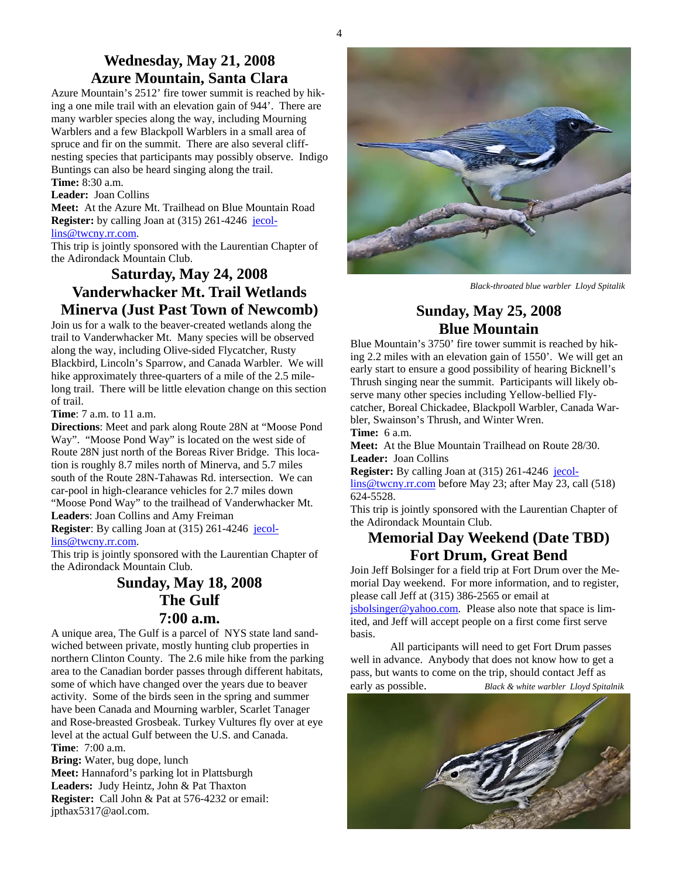#### **Wednesday, May 21, 2008 Azure Mountain, Santa Clara**

Azure Mountain's 2512' fire tower summit is reached by hiking a one mile trail with an elevation gain of 944'. There are many warbler species along the way, including Mourning Warblers and a few Blackpoll Warblers in a small area of spruce and fir on the summit. There are also several cliffnesting species that participants may possibly observe. Indigo Buntings can also be heard singing along the trail.

## **Time:** 8:30 a.m.

#### **Leader:** Joan Collins

**Meet:** At the Azure Mt. Trailhead on Blue Mountain Road **Register:** by calling Joan at (315) 261-4246 jecollins@twcny.rr.com.

This trip is jointly sponsored with the Laurentian Chapter of the Adirondack Mountain Club.

#### **Saturday, May 24, 2008 Vanderwhacker Mt. Trail Wetlands Minerva (Just Past Town of Newcomb)**

Join us for a walk to the beaver-created wetlands along the trail to Vanderwhacker Mt. Many species will be observed along the way, including Olive-sided Flycatcher, Rusty Blackbird, Lincoln's Sparrow, and Canada Warbler. We will hike approximately three-quarters of a mile of the 2.5 milelong trail. There will be little elevation change on this section of trail.

**Time**: 7 a.m. to 11 a.m.

**Directions**: Meet and park along Route 28N at "Moose Pond Way". "Moose Pond Way" is located on the west side of Route 28N just north of the Boreas River Bridge. This location is roughly 8.7 miles north of Minerva, and 5.7 miles south of the Route 28N-Tahawas Rd. intersection. We can car-pool in high-clearance vehicles for 2.7 miles down "Moose Pond Way" to the trailhead of Vanderwhacker Mt. **Leaders**: Joan Collins and Amy Freiman

**Register**: By calling Joan at (315) 261-4246 jecollins@twcny.rr.com.

This trip is jointly sponsored with the Laurentian Chapter of the Adirondack Mountain Club.

#### **Sunday, May 18, 2008 The Gulf 7:00 a.m.**

A unique area, The Gulf is a parcel of NYS state land sandwiched between private, mostly hunting club properties in northern Clinton County. The 2.6 mile hike from the parking area to the Canadian border passes through different habitats, some of which have changed over the years due to beaver activity. Some of the birds seen in the spring and summer have been Canada and Mourning warbler, Scarlet Tanager and Rose-breasted Grosbeak. Turkey Vultures fly over at eye level at the actual Gulf between the U.S. and Canada. **Time**: 7:00 a.m.

**Bring:** Water, bug dope, lunch **Meet:** Hannaford's parking lot in Plattsburgh **Leaders:** Judy Heintz, John & Pat Thaxton **Register:** Call John & Pat at 576-4232 or email: jpthax5317@aol.com.



 *Black-throated blue warbler Lloyd Spitalik* 

#### **Sunday, May 25, 2008 Blue Mountain**

Blue Mountain's 3750' fire tower summit is reached by hiking 2.2 miles with an elevation gain of 1550'. We will get an early start to ensure a good possibility of hearing Bicknell's Thrush singing near the summit. Participants will likely observe many other species including Yellow-bellied Flycatcher, Boreal Chickadee, Blackpoll Warbler, Canada Warbler, Swainson's Thrush, and Winter Wren.

**Time:** 6 a.m.

**Meet:** At the Blue Mountain Trailhead on Route 28/30. **Leader:** Joan Collins

**Register:** By calling Joan at (315) 261-4246 jecol-

lins@twcny.rr.com before May 23; after May 23, call (518) 624-5528.

This trip is jointly sponsored with the Laurentian Chapter of the Adirondack Mountain Club.

#### **Memorial Day Weekend (Date TBD) Fort Drum, Great Bend**

Join Jeff Bolsinger for a field trip at Fort Drum over the Memorial Day weekend. For more information, and to register, please call Jeff at (315) 386-2565 or email at

 $jsbolsinger@yahoo.com.$  Please also note that space is limited, and Jeff will accept people on a first come first serve basis.

 All participants will need to get Fort Drum passes well in advance. Anybody that does not know how to get a pass, but wants to come on the trip, should contact Jeff as early as possible. *Black & white warbler Lloyd Spitalnik*

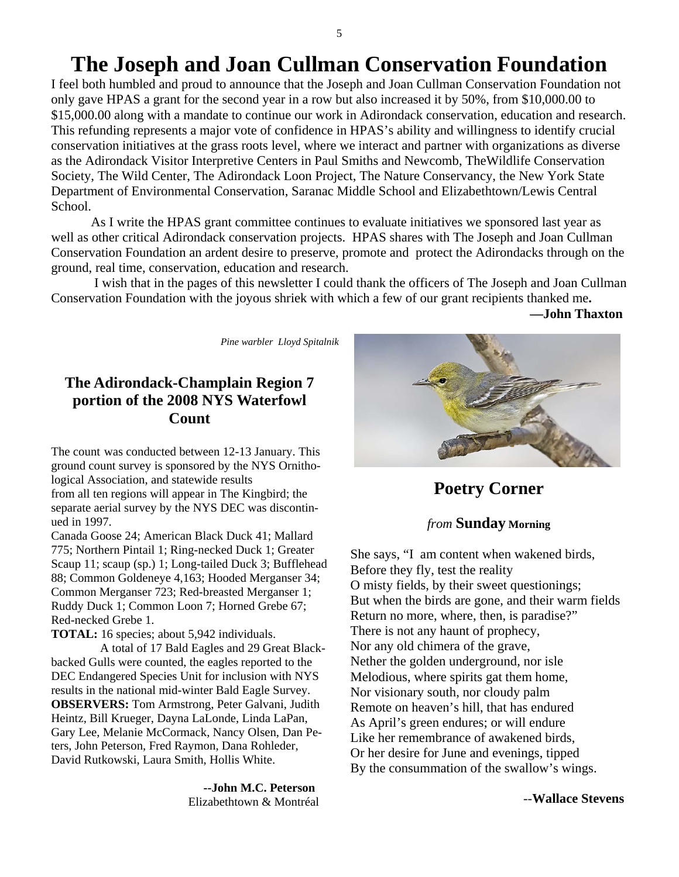# **The Joseph and Joan Cullman Conservation Foundation**

I feel both humbled and proud to announce that the Joseph and Joan Cullman Conservation Foundation not only gave HPAS a grant for the second year in a row but also increased it by 50%, from \$10,000.00 to \$15,000.00 along with a mandate to continue our work in Adirondack conservation, education and research. This refunding represents a major vote of confidence in HPAS's ability and willingness to identify crucial conservation initiatives at the grass roots level, where we interact and partner with organizations as diverse as the Adirondack Visitor Interpretive Centers in Paul Smiths and Newcomb, TheWildlife Conservation Society, The Wild Center, The Adirondack Loon Project, The Nature Conservancy, the New York State Department of Environmental Conservation, Saranac Middle School and Elizabethtown/Lewis Central School.

 As I write the HPAS grant committee continues to evaluate initiatives we sponsored last year as well as other critical Adirondack conservation projects. HPAS shares with The Joseph and Joan Cullman Conservation Foundation an ardent desire to preserve, promote and protect the Adirondacks through on the ground, real time, conservation, education and research.

 I wish that in the pages of this newsletter I could thank the officers of The Joseph and Joan Cullman Conservation Foundation with the joyous shriek with which a few of our grant recipients thanked me**.** 

 **—John Thaxton**

 *Pine warbler Lloyd Spitalnik* 

## **The Adirondack-Champlain Region 7 portion of the 2008 NYS Waterfowl Count**

The count was conducted between 12-13 January. This ground count survey is sponsored by the NYS Ornithological Association, and statewide results from all ten regions will appear in The Kingbird; the separate aerial survey by the NYS DEC was discontinued in 1997.

Canada Goose 24; American Black Duck 41; Mallard 775; Northern Pintail 1; Ring-necked Duck 1; Greater Scaup 11; scaup (sp.) 1; Long-tailed Duck 3; Bufflehead 88; Common Goldeneye 4,163; Hooded Merganser 34; Common Merganser 723; Red-breasted Merganser 1; Ruddy Duck 1; Common Loon 7; Horned Grebe 67; Red-necked Grebe 1.

**TOTAL:** 16 species; about 5,942 individuals.

 A total of 17 Bald Eagles and 29 Great Blackbacked Gulls were counted, the eagles reported to the DEC Endangered Species Unit for inclusion with NYS results in the national mid-winter Bald Eagle Survey. **OBSERVERS:** Tom Armstrong, Peter Galvani, Judith Heintz, Bill Krueger, Dayna LaLonde, Linda LaPan, Gary Lee, Melanie McCormack, Nancy Olsen, Dan Peters, John Peterson, Fred Raymon, Dana Rohleder, David Rutkowski, Laura Smith, Hollis White.

> **--John M.C. Peterson**  Elizabethtown & Montréal



**Poetry Corner** 

#### *from* **Sunday Morning**

She says, "I am content when wakened birds, Before they fly, test the reality O misty fields, by their sweet questionings; But when the birds are gone, and their warm fields Return no more, where, then, is paradise?" There is not any haunt of prophecy, Nor any old chimera of the grave, Nether the golden underground, nor isle Melodious, where spirits gat them home, Nor visionary south, nor cloudy palm Remote on heaven's hill, that has endured As April's green endures; or will endure Like her remembrance of awakened birds, Or her desire for June and evenings, tipped By the consummation of the swallow's wings.

--**Wallace Stevens**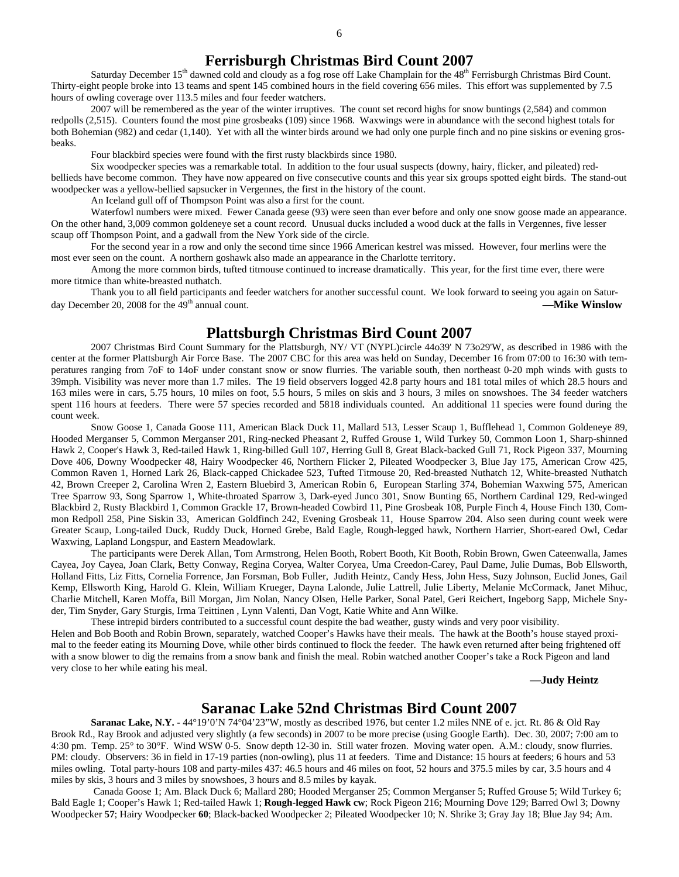Saturday December 15<sup>th</sup> dawned cold and cloudy as a fog rose off Lake Champlain for the 48<sup>th</sup> Ferrisburgh Christmas Bird Count. Thirty-eight people broke into 13 teams and spent 145 combined hours in the field covering 656 miles. This effort was supplemented by 7.5 hours of owling coverage over 113.5 miles and four feeder watchers.

 2007 will be remembered as the year of the winter irruptives. The count set record highs for snow buntings (2,584) and common redpolls (2,515). Counters found the most pine grosbeaks (109) since 1968. Waxwings were in abundance with the second highest totals for both Bohemian (982) and cedar (1,140). Yet with all the winter birds around we had only one purple finch and no pine siskins or evening grosbeaks.

Four blackbird species were found with the first rusty blackbirds since 1980.

 Six woodpecker species was a remarkable total. In addition to the four usual suspects (downy, hairy, flicker, and pileated) redbellieds have become common. They have now appeared on five consecutive counts and this year six groups spotted eight birds. The stand-out woodpecker was a yellow-bellied sapsucker in Vergennes, the first in the history of the count.

An Iceland gull off of Thompson Point was also a first for the count.

 Waterfowl numbers were mixed. Fewer Canada geese (93) were seen than ever before and only one snow goose made an appearance. On the other hand, 3,009 common goldeneye set a count record. Unusual ducks included a wood duck at the falls in Vergennes, five lesser scaup off Thompson Point, and a gadwall from the New York side of the circle.

 For the second year in a row and only the second time since 1966 American kestrel was missed. However, four merlins were the most ever seen on the count. A northern goshawk also made an appearance in the Charlotte territory.

 Among the more common birds, tufted titmouse continued to increase dramatically. This year, for the first time ever, there were more titmice than white-breasted nuthatch.

Thank you to all field participants and feeder watchers for another successful count. We look forward to seeing you again on Saturday December 20, 2008 for the 49<sup>th</sup> annual count. **All annual counterparts of the 49<sup>th</sup> annual count. All annual counterparts of the 49<sup>th</sup> annual count. All annual counterparts of the 49<sup>th</sup> annual counterparts of t** 

#### **Plattsburgh Christmas Bird Count 2007**

2007 Christmas Bird Count Summary for the Plattsburgh, NY/ VT (NYPL)circle 44o39' N 73o29'W, as described in 1986 with the center at the former Plattsburgh Air Force Base. The 2007 CBC for this area was held on Sunday, December 16 from 07:00 to 16:30 with temperatures ranging from 7oF to 14oF under constant snow or snow flurries. The variable south, then northeast 0-20 mph winds with gusts to 39mph. Visibility was never more than 1.7 miles. The 19 field observers logged 42.8 party hours and 181 total miles of which 28.5 hours and 163 miles were in cars, 5.75 hours, 10 miles on foot, 5.5 hours, 5 miles on skis and 3 hours, 3 miles on snowshoes. The 34 feeder watchers spent 116 hours at feeders. There were 57 species recorded and 5818 individuals counted. An additional 11 species were found during the count week.

 Snow Goose 1, Canada Goose 111, American Black Duck 11, Mallard 513, Lesser Scaup 1, Bufflehead 1, Common Goldeneye 89, Hooded Merganser 5, Common Merganser 201, Ring-necked Pheasant 2, Ruffed Grouse 1, Wild Turkey 50, Common Loon 1, Sharp-shinned Hawk 2, Cooper's Hawk 3, Red-tailed Hawk 1, Ring-billed Gull 107, Herring Gull 8, Great Black-backed Gull 71, Rock Pigeon 337, Mourning Dove 406, Downy Woodpecker 48, Hairy Woodpecker 46, Northern Flicker 2, Pileated Woodpecker 3, Blue Jay 175, American Crow 425, Common Raven 1, Horned Lark 26, Black-capped Chickadee 523, Tufted Titmouse 20, Red-breasted Nuthatch 12, White-breasted Nuthatch 42, Brown Creeper 2, Carolina Wren 2, Eastern Bluebird 3, American Robin 6, European Starling 374, Bohemian Waxwing 575, American Tree Sparrow 93, Song Sparrow 1, White-throated Sparrow 3, Dark-eyed Junco 301, Snow Bunting 65, Northern Cardinal 129, Red-winged Blackbird 2, Rusty Blackbird 1, Common Grackle 17, Brown-headed Cowbird 11, Pine Grosbeak 108, Purple Finch 4, House Finch 130, Common Redpoll 258, Pine Siskin 33, American Goldfinch 242, Evening Grosbeak 11, House Sparrow 204. Also seen during count week were Greater Scaup, Long-tailed Duck, Ruddy Duck, Horned Grebe, Bald Eagle, Rough-legged hawk, Northern Harrier, Short-eared Owl, Cedar Waxwing, Lapland Longspur, and Eastern Meadowlark.

 The participants were Derek Allan, Tom Armstrong, Helen Booth, Robert Booth, Kit Booth, Robin Brown, Gwen Cateenwalla, James Cayea, Joy Cayea, Joan Clark, Betty Conway, Regina Coryea, Walter Coryea, Uma Creedon-Carey, Paul Dame, Julie Dumas, Bob Ellsworth, Holland Fitts, Liz Fitts, Cornelia Forrence, Jan Forsman, Bob Fuller, Judith Heintz, Candy Hess, John Hess, Suzy Johnson, Euclid Jones, Gail Kemp, Ellsworth King, Harold G. Klein, William Krueger, Dayna Lalonde, Julie Lattrell, Julie Liberty, Melanie McCormack, Janet Mihuc, Charlie Mitchell, Karen Moffa, Bill Morgan, Jim Nolan, Nancy Olsen, Helle Parker, Sonal Patel, Geri Reichert, Ingeborg Sapp, Michele Snyder, Tim Snyder, Gary Sturgis, Irma Teittinen , Lynn Valenti, Dan Vogt, Katie White and Ann Wilke.

 These intrepid birders contributed to a successful count despite the bad weather, gusty winds and very poor visibility. Helen and Bob Booth and Robin Brown, separately, watched Cooper's Hawks have their meals. The hawk at the Booth's house stayed proximal to the feeder eating its Mourning Dove, while other birds continued to flock the feeder. The hawk even returned after being frightened off with a snow blower to dig the remains from a snow bank and finish the meal. Robin watched another Cooper's take a Rock Pigeon and land very close to her while eating his meal.

 **—Judy Heintz** 

#### **Saranac Lake 52nd Christmas Bird Count 2007**

**Saranac Lake, N.Y.** - 44°19'0'N 74°04'23"W, mostly as described 1976, but center 1.2 miles NNE of e. jct. Rt. 86 & Old Ray Brook Rd., Ray Brook and adjusted very slightly (a few seconds) in 2007 to be more precise (using Google Earth). Dec. 30, 2007; 7:00 am to 4:30 pm. Temp. 25° to 30°F. Wind WSW 0-5. Snow depth 12-30 in. Still water frozen. Moving water open. A.M.: cloudy, snow flurries. PM: cloudy. Observers: 36 in field in 17-19 parties (non-owling), plus 11 at feeders. Time and Distance: 15 hours at feeders; 6 hours and 53 miles owling. Total party-hours 108 and party-miles 437: 46.5 hours and 46 miles on foot, 52 hours and 375.5 miles by car, 3.5 hours and 4 miles by skis, 3 hours and 3 miles by snowshoes, 3 hours and 8.5 miles by kayak.

 Canada Goose 1; Am. Black Duck 6; Mallard 280; Hooded Merganser 25; Common Merganser 5; Ruffed Grouse 5; Wild Turkey 6; Bald Eagle 1; Cooper's Hawk 1; Red-tailed Hawk 1; **Rough-legged Hawk cw**; Rock Pigeon 216; Mourning Dove 129; Barred Owl 3; Downy Woodpecker **57**; Hairy Woodpecker **60**; Black-backed Woodpecker 2; Pileated Woodpecker 10; N. Shrike 3; Gray Jay 18; Blue Jay 94; Am.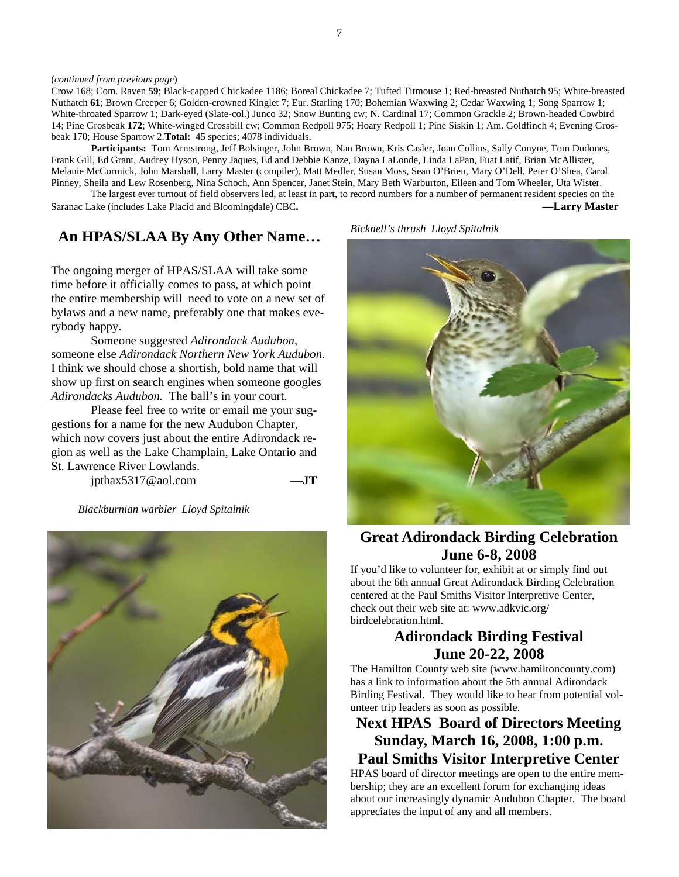Crow 168; Com. Raven **59**; Black-capped Chickadee 1186; Boreal Chickadee 7; Tufted Titmouse 1; Red-breasted Nuthatch 95; White-breasted Nuthatch **61**; Brown Creeper 6; Golden-crowned Kinglet 7; Eur. Starling 170; Bohemian Waxwing 2; Cedar Waxwing 1; Song Sparrow 1; White-throated Sparrow 1; Dark-eyed (Slate-col.) Junco 32; Snow Bunting cw; N. Cardinal 17; Common Grackle 2; Brown-headed Cowbird 14; Pine Grosbeak **172**; White-winged Crossbill cw; Common Redpoll 975; Hoary Redpoll 1; Pine Siskin 1; Am. Goldfinch 4; Evening Grosbeak 170; House Sparrow 2.**Total:** 45 species; 4078 individuals.

 **Participants:** Tom Armstrong, Jeff Bolsinger, John Brown, Nan Brown, Kris Casler, Joan Collins, Sally Conyne, Tom Dudones, Frank Gill, Ed Grant, Audrey Hyson, Penny Jaques, Ed and Debbie Kanze, Dayna LaLonde, Linda LaPan, Fuat Latif, Brian McAllister, Melanie McCormick, John Marshall, Larry Master (compiler), Matt Medler, Susan Moss, Sean O'Brien, Mary O'Dell, Peter O'Shea, Carol Pinney, Sheila and Lew Rosenberg, Nina Schoch, Ann Spencer, Janet Stein, Mary Beth Warburton, Eileen and Tom Wheeler, Uta Wister.

The largest ever turnout of field observers led, at least in part, to record numbers for a number of permanent resident species on the Saranac Lake (includes Lake Placid and Bloomingdale) CBC. **——Larry Master ——Larry Master** 

#### **An HPAS/SLAA By Any Other Name…**

The ongoing merger of HPAS/SLAA will take some time before it officially comes to pass, at which point the entire membership will need to vote on a new set of bylaws and a new name, preferably one that makes everybody happy.

 Someone suggested *Adirondack Audubon*, someone else *Adirondack Northern New York Audubon*. I think we should chose a shortish, bold name that will show up first on search engines when someone googles *Adirondacks Audubon.* The ball's in your court.

 Please feel free to write or email me your suggestions for a name for the new Audubon Chapter, which now covers just about the entire Adirondack region as well as the Lake Champlain, Lake Ontario and St. Lawrence River Lowlands.

jpthax5317@aol.com **—JT** 

*Blackburnian warbler Lloyd Spitalnik* 



*Bicknell's thrush Lloyd Spitalnik* 



#### **Great Adirondack Birding Celebration June 6-8, 2008**

If you'd like to volunteer for, exhibit at or simply find out about the 6th annual Great Adirondack Birding Celebration centered at the Paul Smiths Visitor Interpretive Center, check out their web site at: www.adkvic.org/ birdcelebration.html.

#### **Adirondack Birding Festival June 20-22, 2008**

The Hamilton County web site (www.hamiltoncounty.com) has a link to information about the 5th annual Adirondack Birding Festival. They would like to hear from potential volunteer trip leaders as soon as possible.

**Next HPAS Board of Directors Meeting Sunday, March 16, 2008, 1:00 p.m. Paul Smiths Visitor Interpretive Center** 

HPAS board of director meetings are open to the entire membership; they are an excellent forum for exchanging ideas about our increasingly dynamic Audubon Chapter. The board appreciates the input of any and all members.